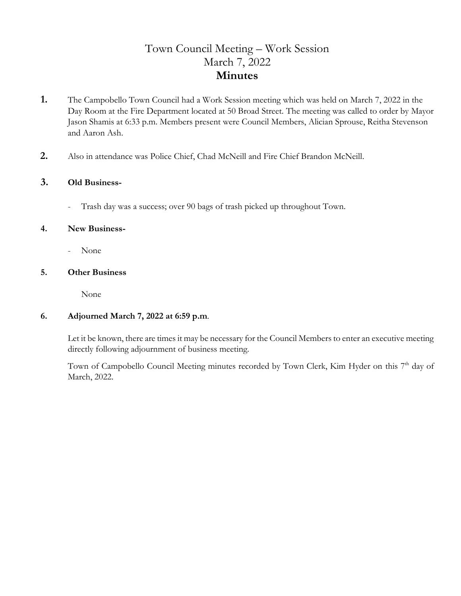# Town Council Meeting – Work Session March 7, 2022 **Minutes**

- **1.** The Campobello Town Council had a Work Session meeting which was held on March 7, 2022 in the Day Room at the Fire Department located at 50 Broad Street. The meeting was called to order by Mayor Jason Shamis at 6:33 p.m. Members present were Council Members, Alician Sprouse, Reitha Stevenson and Aaron Ash.
- **2.** Also in attendance was Police Chief, Chad McNeill and Fire Chief Brandon McNeill.

### **3. Old Business-**

- Trash day was a success; over 90 bags of trash picked up throughout Town.

#### **4. New Business-**

- None

#### **5. Other Business**

None

## **6. Adjourned March 7, 2022 at 6:59 p.m**.

 Let it be known, there are times it may be necessary for the Council Members to enter an executive meeting directly following adjournment of business meeting.

Town of Campobello Council Meeting minutes recorded by Town Clerk, Kim Hyder on this 7<sup>th</sup> day of March, 2022.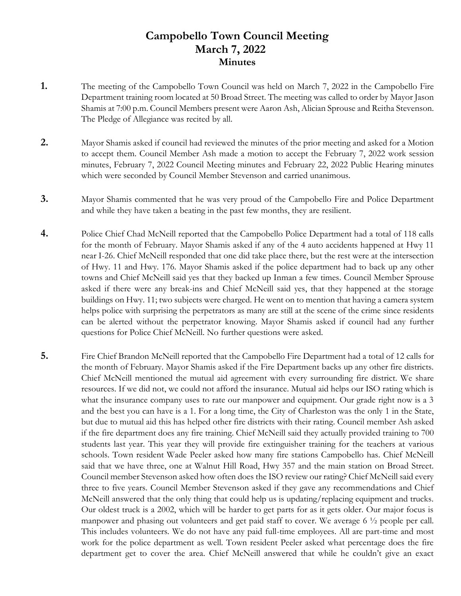# **Campobello Town Council Meeting March 7, 2022 Minutes**

- **1.** The meeting of the Campobello Town Council was held on March 7, 2022 in the Campobello Fire Department training room located at 50 Broad Street. The meeting was called to order by Mayor Jason Shamis at 7:00 p.m. Council Members present were Aaron Ash, Alician Sprouse and Reitha Stevenson. The Pledge of Allegiance was recited by all.
- **2.** Mayor Shamis asked if council had reviewed the minutes of the prior meeting and asked for a Motion to accept them. Council Member Ash made a motion to accept the February 7, 2022 work session minutes, February 7, 2022 Council Meeting minutes and February 22, 2022 Public Hearing minutes which were seconded by Council Member Stevenson and carried unanimous.
- **3.** Mayor Shamis commented that he was very proud of the Campobello Fire and Police Department and while they have taken a beating in the past few months, they are resilient.
- **4.** Police Chief Chad McNeill reported that the Campobello Police Department had a total of 118 calls for the month of February. Mayor Shamis asked if any of the 4 auto accidents happened at Hwy 11 near I-26. Chief McNeill responded that one did take place there, but the rest were at the intersection of Hwy. 11 and Hwy. 176. Mayor Shamis asked if the police department had to back up any other towns and Chief McNeill said yes that they backed up Inman a few times. Council Member Sprouse asked if there were any break-ins and Chief McNeill said yes, that they happened at the storage buildings on Hwy. 11; two subjects were charged. He went on to mention that having a camera system helps police with surprising the perpetrators as many are still at the scene of the crime since residents can be alerted without the perpetrator knowing. Mayor Shamis asked if council had any further questions for Police Chief McNeill. No further questions were asked.
- **5.** Fire Chief Brandon McNeill reported that the Campobello Fire Department had a total of 12 calls for the month of February. Mayor Shamis asked if the Fire Department backs up any other fire districts. Chief McNeill mentioned the mutual aid agreement with every surrounding fire district. We share resources. If we did not, we could not afford the insurance. Mutual aid helps our ISO rating which is what the insurance company uses to rate our manpower and equipment. Our grade right now is a 3 and the best you can have is a 1. For a long time, the City of Charleston was the only 1 in the State, but due to mutual aid this has helped other fire districts with their rating. Council member Ash asked if the fire department does any fire training. Chief McNeill said they actually provided training to 700 students last year. This year they will provide fire extinguisher training for the teachers at various schools. Town resident Wade Peeler asked how many fire stations Campobello has. Chief McNeill said that we have three, one at Walnut Hill Road, Hwy 357 and the main station on Broad Street. Council member Stevenson asked how often does the ISO review our rating? Chief McNeill said every three to five years. Council Member Stevenson asked if they gave any recommendations and Chief McNeill answered that the only thing that could help us is updating/replacing equipment and trucks. Our oldest truck is a 2002, which will be harder to get parts for as it gets older. Our major focus is manpower and phasing out volunteers and get paid staff to cover. We average 6 ½ people per call. This includes volunteers. We do not have any paid full-time employees. All are part-time and most work for the police department as well. Town resident Peeler asked what percentage does the fire department get to cover the area. Chief McNeill answered that while he couldn't give an exact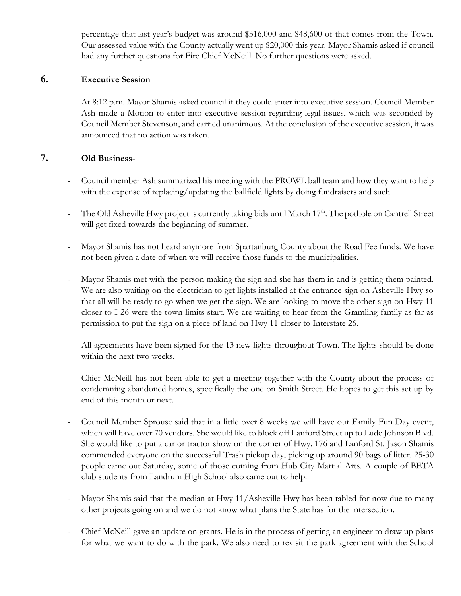percentage that last year's budget was around \$316,000 and \$48,600 of that comes from the Town. Our assessed value with the County actually went up \$20,000 this year. Mayor Shamis asked if council had any further questions for Fire Chief McNeill. No further questions were asked.

# **6. Executive Session**

At 8:12 p.m. Mayor Shamis asked council if they could enter into executive session. Council Member Ash made a Motion to enter into executive session regarding legal issues, which was seconded by Council Member Stevenson, and carried unanimous. At the conclusion of the executive session, it was announced that no action was taken.

### **7. Old Business-**

- Council member Ash summarized his meeting with the PROWL ball team and how they want to help with the expense of replacing/updating the ballfield lights by doing fundraisers and such.
- The Old Asheville Hwy project is currently taking bids until March 17<sup>th</sup>. The pothole on Cantrell Street will get fixed towards the beginning of summer.
- Mayor Shamis has not heard anymore from Spartanburg County about the Road Fee funds. We have not been given a date of when we will receive those funds to the municipalities.
- Mayor Shamis met with the person making the sign and she has them in and is getting them painted. We are also waiting on the electrician to get lights installed at the entrance sign on Asheville Hwy so that all will be ready to go when we get the sign. We are looking to move the other sign on Hwy 11 closer to I-26 were the town limits start. We are waiting to hear from the Gramling family as far as permission to put the sign on a piece of land on Hwy 11 closer to Interstate 26.
- All agreements have been signed for the 13 new lights throughout Town. The lights should be done within the next two weeks.
- Chief McNeill has not been able to get a meeting together with the County about the process of condemning abandoned homes, specifically the one on Smith Street. He hopes to get this set up by end of this month or next.
- Council Member Sprouse said that in a little over 8 weeks we will have our Family Fun Day event, which will have over 70 vendors. She would like to block off Lanford Street up to Lude Johnson Blvd. She would like to put a car or tractor show on the corner of Hwy. 176 and Lanford St. Jason Shamis commended everyone on the successful Trash pickup day, picking up around 90 bags of litter. 25-30 people came out Saturday, some of those coming from Hub City Martial Arts. A couple of BETA club students from Landrum High School also came out to help.
- Mayor Shamis said that the median at Hwy 11/Asheville Hwy has been tabled for now due to many other projects going on and we do not know what plans the State has for the intersection.
- Chief McNeill gave an update on grants. He is in the process of getting an engineer to draw up plans for what we want to do with the park. We also need to revisit the park agreement with the School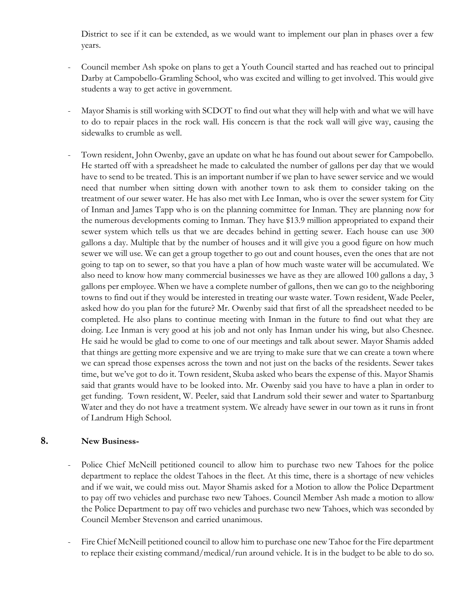District to see if it can be extended, as we would want to implement our plan in phases over a few years.

- Council member Ash spoke on plans to get a Youth Council started and has reached out to principal Darby at Campobello-Gramling School, who was excited and willing to get involved. This would give students a way to get active in government.
- Mayor Shamis is still working with SCDOT to find out what they will help with and what we will have to do to repair places in the rock wall. His concern is that the rock wall will give way, causing the sidewalks to crumble as well.
- Town resident, John Owenby, gave an update on what he has found out about sewer for Campobello. He started off with a spreadsheet he made to calculated the number of gallons per day that we would have to send to be treated. This is an important number if we plan to have sewer service and we would need that number when sitting down with another town to ask them to consider taking on the treatment of our sewer water. He has also met with Lee Inman, who is over the sewer system for City of Inman and James Tapp who is on the planning committee for Inman. They are planning now for the numerous developments coming to Inman. They have \$13.9 million appropriated to expand their sewer system which tells us that we are decades behind in getting sewer. Each house can use 300 gallons a day. Multiple that by the number of houses and it will give you a good figure on how much sewer we will use. We can get a group together to go out and count houses, even the ones that are not going to tap on to sewer, so that you have a plan of how much waste water will be accumulated. We also need to know how many commercial businesses we have as they are allowed 100 gallons a day, 3 gallons per employee. When we have a complete number of gallons, then we can go to the neighboring towns to find out if they would be interested in treating our waste water. Town resident, Wade Peeler, asked how do you plan for the future? Mr. Owenby said that first of all the spreadsheet needed to be completed. He also plans to continue meeting with Inman in the future to find out what they are doing. Lee Inman is very good at his job and not only has Inman under his wing, but also Chesnee. He said he would be glad to come to one of our meetings and talk about sewer. Mayor Shamis added that things are getting more expensive and we are trying to make sure that we can create a town where we can spread those expenses across the town and not just on the backs of the residents. Sewer takes time, but we've got to do it. Town resident, Skuba asked who bears the expense of this. Mayor Shamis said that grants would have to be looked into. Mr. Owenby said you have to have a plan in order to get funding. Town resident, W. Peeler, said that Landrum sold their sewer and water to Spartanburg Water and they do not have a treatment system. We already have sewer in our town as it runs in front of Landrum High School.

# **8. New Business-**

- Police Chief McNeill petitioned council to allow him to purchase two new Tahoes for the police department to replace the oldest Tahoes in the fleet. At this time, there is a shortage of new vehicles and if we wait, we could miss out. Mayor Shamis asked for a Motion to allow the Police Department to pay off two vehicles and purchase two new Tahoes. Council Member Ash made a motion to allow the Police Department to pay off two vehicles and purchase two new Tahoes, which was seconded by Council Member Stevenson and carried unanimous.
- Fire Chief McNeill petitioned council to allow him to purchase one new Tahoe for the Fire department to replace their existing command/medical/run around vehicle. It is in the budget to be able to do so.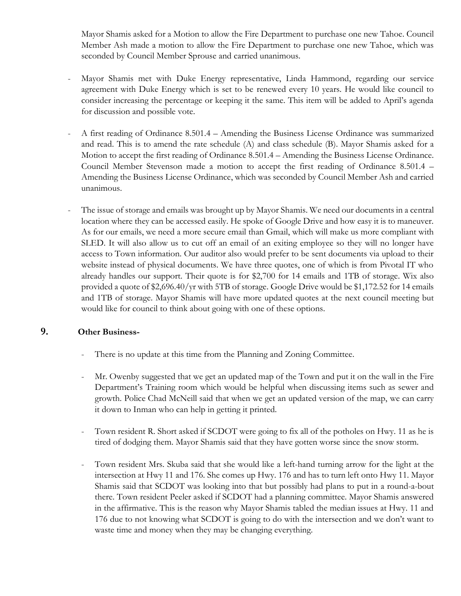Mayor Shamis asked for a Motion to allow the Fire Department to purchase one new Tahoe. Council Member Ash made a motion to allow the Fire Department to purchase one new Tahoe, which was seconded by Council Member Sprouse and carried unanimous.

- Mayor Shamis met with Duke Energy representative, Linda Hammond, regarding our service agreement with Duke Energy which is set to be renewed every 10 years. He would like council to consider increasing the percentage or keeping it the same. This item will be added to April's agenda for discussion and possible vote.
- A first reading of Ordinance 8.501.4 Amending the Business License Ordinance was summarized and read. This is to amend the rate schedule (A) and class schedule (B). Mayor Shamis asked for a Motion to accept the first reading of Ordinance 8.501.4 – Amending the Business License Ordinance. Council Member Stevenson made a motion to accept the first reading of Ordinance 8.501.4 – Amending the Business License Ordinance, which was seconded by Council Member Ash and carried unanimous.
- The issue of storage and emails was brought up by Mayor Shamis. We need our documents in a central location where they can be accessed easily. He spoke of Google Drive and how easy it is to maneuver. As for our emails, we need a more secure email than Gmail, which will make us more compliant with SLED. It will also allow us to cut off an email of an exiting employee so they will no longer have access to Town information. Our auditor also would prefer to be sent documents via upload to their website instead of physical documents. We have three quotes, one of which is from Pivotal IT who already handles our support. Their quote is for \$2,700 for 14 emails and 1TB of storage. Wix also provided a quote of \$2,696.40/yr with 5TB of storage. Google Drive would be \$1,172.52 for 14 emails and 1TB of storage. Mayor Shamis will have more updated quotes at the next council meeting but would like for council to think about going with one of these options.

# **9. Other Business-**

- There is no update at this time from the Planning and Zoning Committee.
- Mr. Owenby suggested that we get an updated map of the Town and put it on the wall in the Fire Department's Training room which would be helpful when discussing items such as sewer and growth. Police Chad McNeill said that when we get an updated version of the map, we can carry it down to Inman who can help in getting it printed.
- Town resident R. Short asked if SCDOT were going to fix all of the potholes on Hwy. 11 as he is tired of dodging them. Mayor Shamis said that they have gotten worse since the snow storm.
- Town resident Mrs. Skuba said that she would like a left-hand turning arrow for the light at the intersection at Hwy 11 and 176. She comes up Hwy. 176 and has to turn left onto Hwy 11. Mayor Shamis said that SCDOT was looking into that but possibly had plans to put in a round-a-bout there. Town resident Peeler asked if SCDOT had a planning committee. Mayor Shamis answered in the affirmative. This is the reason why Mayor Shamis tabled the median issues at Hwy. 11 and 176 due to not knowing what SCDOT is going to do with the intersection and we don't want to waste time and money when they may be changing everything.